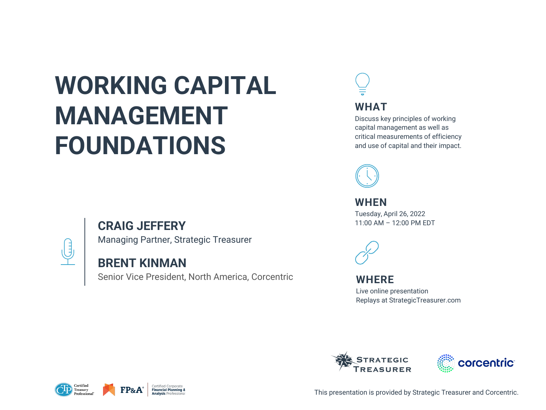# **WORKING CAPITAL MANAGEMENT FOUNDATIONS**

## **CRAIG JEFFERY**



Managing Partner, Strategic Treasurer

## **BRENT KINMAN**

Senior Vice President, North America, Corcentric











This presentation is provided by Strategic Treasurer and Corcentric.

### **WHERE**

Live online presentation Replays at StrategicTreasurer.com





**WHEN** Tuesday, April 26, 2022 11:00 AM – 12:00 PM EDT



**WHAT**

Discuss key principles of working capital management as well as critical measurements of efficiency and use of capital and their impact.

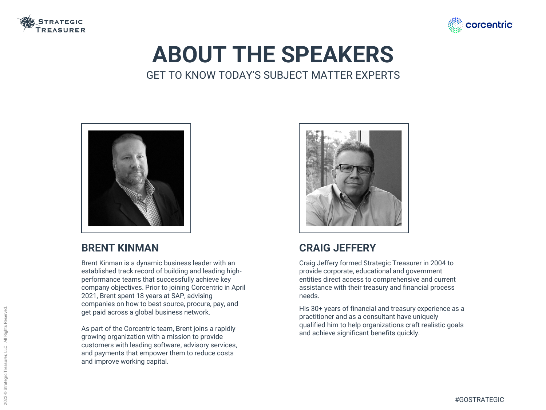## **BRENT KINMAN**

Brent Kinman is a dynamic business leader with an established track record of building and leading highperformance teams that successfully achieve key company objectives. Prior to joining Corcentric in April 2021, Brent spent 18 years at SAP, advising companies on how to best source, procure, pay, and get paid across a global business network.

As part of the Corcentric team, Brent joins a rapidly growing organization with a mission to provide customers with leading software, advisory services, and payments that empower them to reduce costs and improve working capital.





## **CRAIG JEFFERY**

Craig Jeffery formed Strategic Treasurer in 2004 to provide corporate, educational and government entities direct access to comprehensive and current assistance with their treasury and financial process needs.

His 30+ years of financial and treasury experience as a practitioner and as a consultant have uniquely qualified him to help organizations craft realistic goals and achieve significant benefits quickly.





## **ABOUT THE SPEAKERS** GET TO KNOW TODAY'S SUBJECT MATTER EXPERTS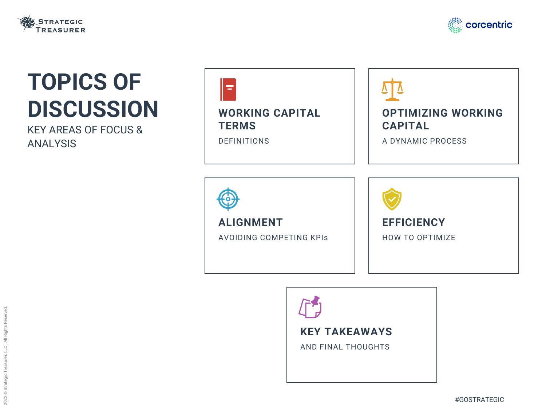





# **TOPICS OF DISCUSSION**

KEY AREAS OF FOCUS & ANALYSIS

## **KEY TAKEAWAYS**

AND FINAL THOUGHTS

**ALIGNMENT**

AVOIDING COMPETING KPIs





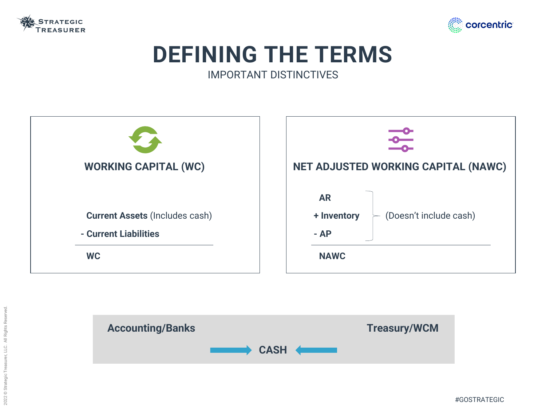



| <b>NET ADJU</b> |
|-----------------|
| <b>AR</b>       |
| + Inven         |
| $- AP$          |
| <b>NAW</b>      |
|                 |





## **DEFINING THE TERMS** IMPORTANT DISTINCTIVES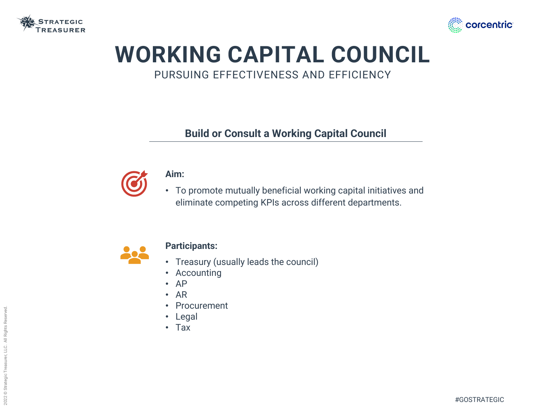



## **WORKING CAPITAL COUNCIL** PURSUING EFFECTIVENESS AND EFFICIENCY

## **Build or Consult a Working Capital Council**



### **Aim:**

• To promote mutually beneficial working capital initiatives and eliminate competing KPIs across different departments.



#### **Participants:**

- Treasury (usually leads the council)
- Accounting
- AP
- AR
- **Procurement**
- **Legal**
- Tax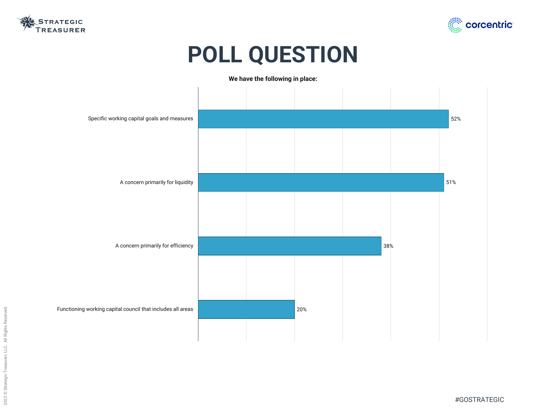





# **POLL QUESTION**



| Specific working capital goals and measures                 |  |     |
|-------------------------------------------------------------|--|-----|
|                                                             |  |     |
| A concern primarily for liquidity                           |  |     |
|                                                             |  |     |
|                                                             |  |     |
| A concern primarily for efficiency                          |  |     |
|                                                             |  |     |
| Functioning working capital council that includes all areas |  |     |
|                                                             |  | 20% |
|                                                             |  |     |

#### **We have the following in place:**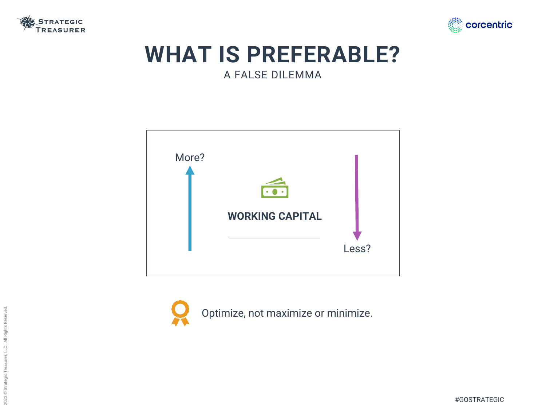

## **WHAT IS PREFERABLE?** A FALSE DILEMMA









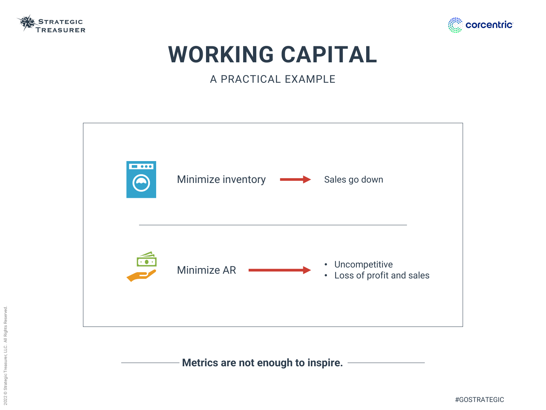

# **WORKING CAPITAL**

A PRACTICAL EXAMPLE



**Metrics are not enough to inspire.**



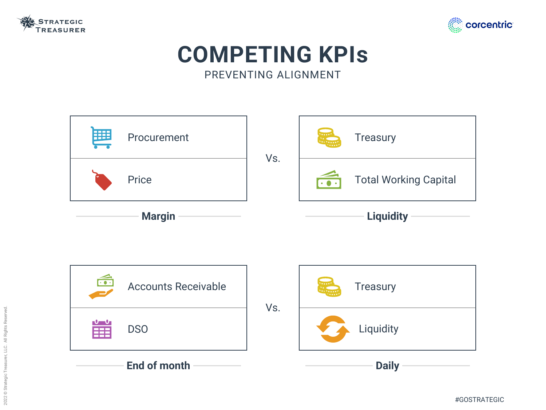



## **Treasury**

#GOSTRATEGIC



## **COMPETING KPIs** PREVENTING ALIGNMENT

## Total Working Capital





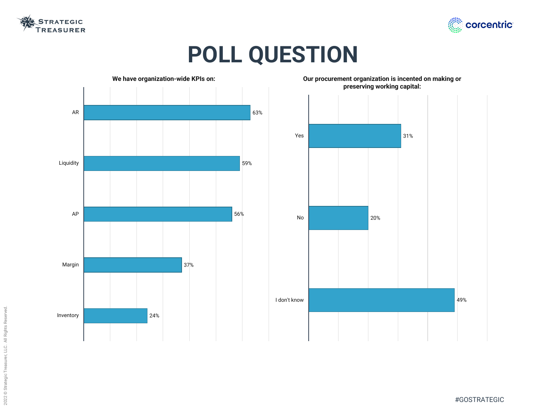2022 © Strategic Treasurer, LLC. All Rights Reserved. 2022 © Strategic Treasurer, LLC. All Rights Reserved.





#GOSTRATEGIC



# **POLL QUESTION**

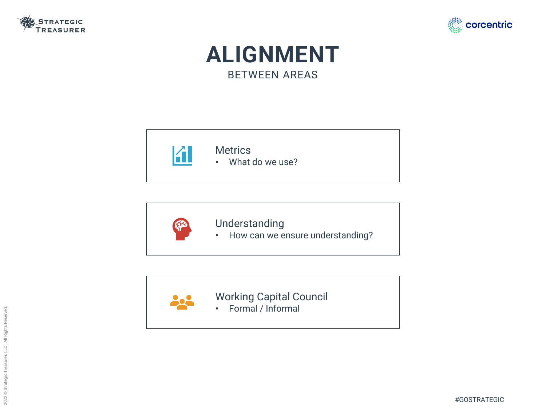





## **ALIGNMENT** BETWEEN AREAS



### **Metrics** • What do we use?



## Understanding

• How can we ensure understanding?



Working Capital Council • Formal / Informal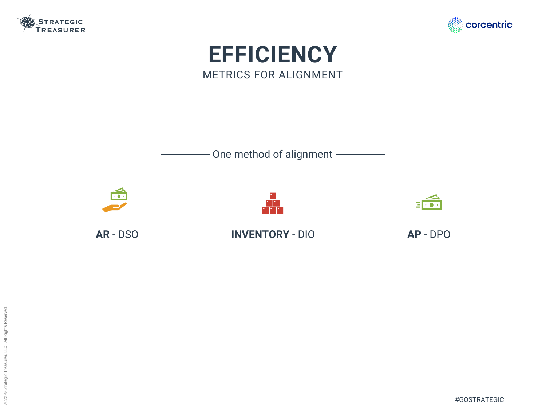





## **EFFICIENCY** METRICS FOR ALIGNMENT

**AR** - DSO **INVENTORY** - DIO **AP** - DPO





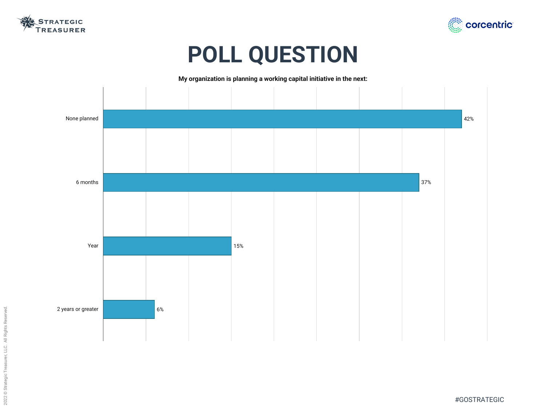



# **POLL QUESTION**



**My organization is planning a working capital initiative in the next:**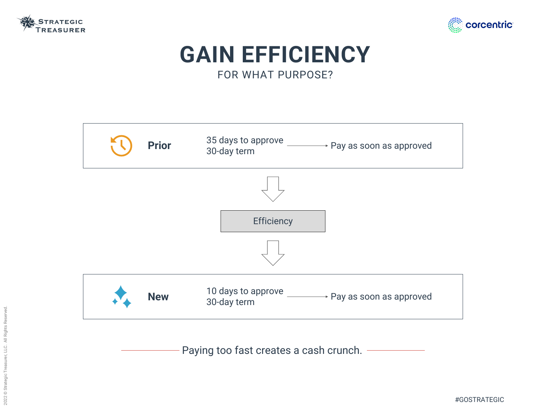

### + Pay as soon as approved

 $\rightarrow$  Pay as soon as approved

#GOSTRATEGIC







Paying too fast creates a cash crunch. -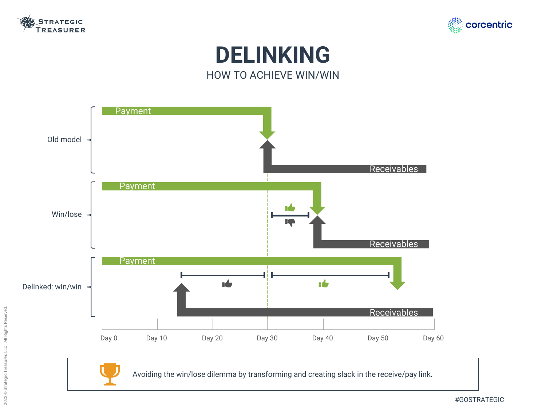



## **DELINKING** HOW TO ACHIEVE WIN/WIN

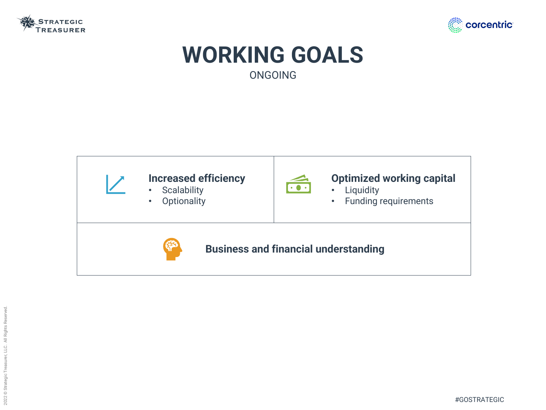



## **WORKING GOALS** ONGOING

## **Optimized working capital**



- Liquidity
- Funding requirements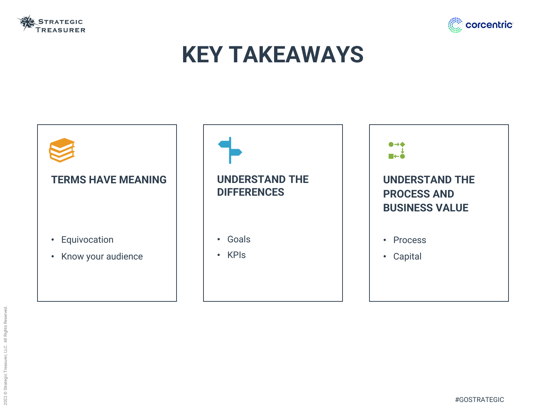

# **KEY TAKEAWAYS**